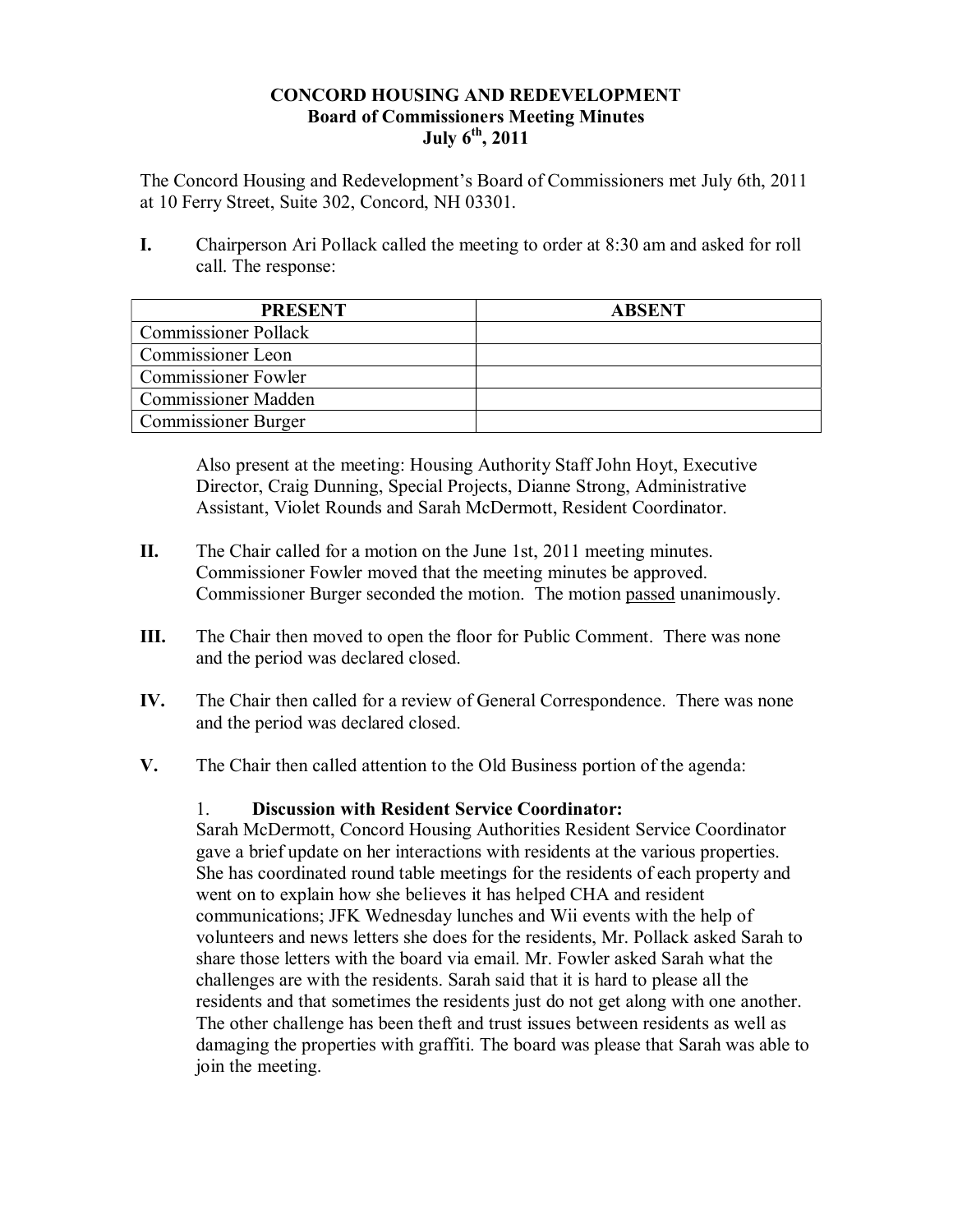## **CONCORD HOUSING AND REDEVELOPMENT Board of Commissioners Meeting Minutes July 6th, 2011**

The Concord Housing and Redevelopment's Board of Commissioners met July 6th, 2011 at 10 Ferry Street, Suite 302, Concord, NH 03301.

**I.** Chairperson Ari Pollack called the meeting to order at 8:30 am and asked for roll call. The response:

| <b>PRESENT</b>              | <b>ABSENT</b> |
|-----------------------------|---------------|
| <b>Commissioner Pollack</b> |               |
| Commissioner Leon           |               |
| <b>Commissioner Fowler</b>  |               |
| <b>Commissioner Madden</b>  |               |
| <b>Commissioner Burger</b>  |               |

Also present at the meeting: Housing Authority Staff John Hoyt, Executive Director, Craig Dunning, Special Projects, Dianne Strong, Administrative Assistant, Violet Rounds and Sarah McDermott, Resident Coordinator.

- **II.** The Chair called for a motion on the June 1st, 2011 meeting minutes. Commissioner Fowler moved that the meeting minutes be approved. Commissioner Burger seconded the motion. The motion passed unanimously.
- **III.** The Chair then moved to open the floor for Public Comment. There was none and the period was declared closed.
- **IV.** The Chair then called for a review of General Correspondence. There was none and the period was declared closed.
- **V.** The Chair then called attention to the Old Business portion of the agenda:

## 1. **Discussion with Resident Service Coordinator:**

Sarah McDermott, Concord Housing Authorities Resident Service Coordinator gave a brief update on her interactions with residents at the various properties. She has coordinated round table meetings for the residents of each property and went on to explain how she believes it has helped CHA and resident communications; JFK Wednesday lunches and Wii events with the help of volunteers and news letters she does for the residents, Mr. Pollack asked Sarah to share those letters with the board via email. Mr. Fowler asked Sarah what the challenges are with the residents. Sarah said that it is hard to please all the residents and that sometimes the residents just do not get along with one another. The other challenge has been theft and trust issues between residents as well as damaging the properties with graffiti. The board was please that Sarah was able to join the meeting.